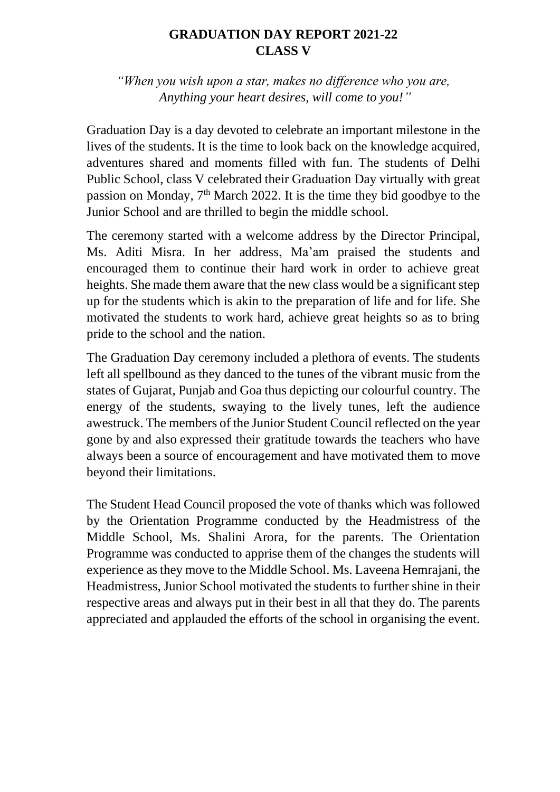## **GRADUATION DAY REPORT 2021-22 CLASS V**

*"When you wish upon a star, makes no difference who you are, Anything your heart desires, will come to you!"*

Graduation Day is a day devoted to celebrate an important milestone in the lives of the students. It is the time to look back on the knowledge acquired, adventures shared and moments filled with fun. The students of Delhi Public School, class V celebrated their Graduation Day virtually with great passion on Monday,  $7<sup>th</sup>$  March 2022. It is the time they bid goodbye to the Junior School and are thrilled to begin the middle school.

The ceremony started with a welcome address by the Director Principal, Ms. Aditi Misra. In her address, Ma'am praised the students and encouraged them to continue their hard work in order to achieve great heights. She made them aware that the new class would be a significant step up for the students which is akin to the preparation of life and for life. She motivated the students to work hard, achieve great heights so as to bring pride to the school and the nation.

The Graduation Day ceremony included a plethora of events. The students left all spellbound as they danced to the tunes of the vibrant music from the states of Gujarat, Punjab and Goa thus depicting our colourful country. The energy of the students, swaying to the lively tunes, left the audience awestruck. The members of the Junior Student Council reflected on the year gone by and also expressed their gratitude towards the teachers who have always been a source of encouragement and have motivated them to move beyond their limitations.

The Student Head Council proposed the vote of thanks which was followed by the Orientation Programme conducted by the Headmistress of the Middle School, Ms. Shalini Arora, for the parents. The Orientation Programme was conducted to apprise them of the changes the students will experience as they move to the Middle School. Ms. Laveena Hemrajani, the Headmistress, Junior School motivated the students to further shine in their respective areas and always put in their best in all that they do. The parents appreciated and applauded the efforts of the school in organising the event.